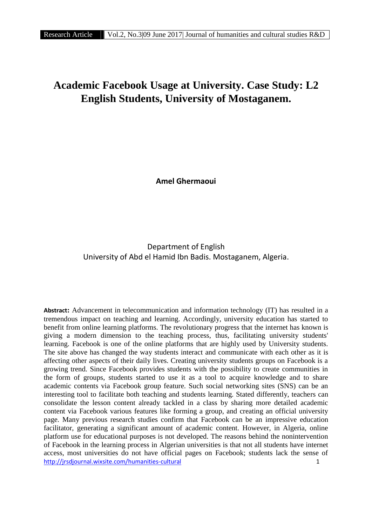# **Academic Facebook Usage at University. Case Study: L2 English Students, University of Mostaganem.**

**Amel Ghermaoui**

# Department of English University of Abd el Hamid Ibn Badis. Mostaganem, Algeria.

http://jrsdjournal.wixsite.com/humanities-cultural 1 **Abstract:** Advancement in telecommunication and information technology (IT) has resulted in a tremendous impact on teaching and learning. Accordingly, university education has started to benefit from online learning platforms. The revolutionary progress that the internet has known is giving a modern dimension to the teaching process, thus, facilitating university students' learning. Facebook is one of the online platforms that are highly used by University students. The site above has changed the way students interact and communicate with each other as it is affecting other aspects of their daily lives. Creating university students groups on Facebook is a growing trend. Since Facebook provides students with the possibility to create communities in the form of groups, students started to use it as a tool to acquire knowledge and to share academic contents via Facebook group feature. Such social networking sites (SNS) can be an interesting tool to facilitate both teaching and students learning. Stated differently, teachers can consolidate the lesson content already tackled in a class by sharing more detailed academic content via Facebook various features like forming a group, and creating an official university page. Many previous research studies confirm that Facebook can be an impressive education facilitator, generating a significant amount of academic content. However, in Algeria, online platform use for educational purposes is not developed. The reasons behind the nonintervention of Facebook in the learning process in Algerian universities is that not all students have internet access, most universities do not have official pages on Facebook; students lack the sense of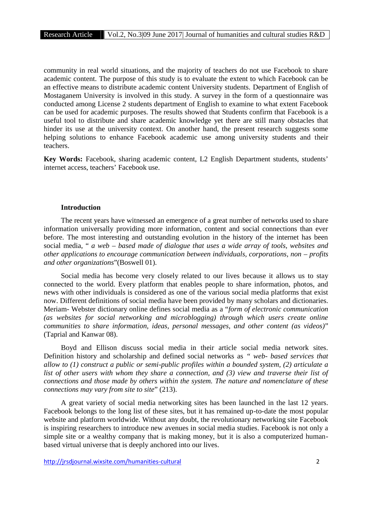community in real world situations, and the majority of teachers do not use Facebook to share academic content. The purpose of this study is to evaluate the extent to which Facebook can be an effective means to distribute academic content University students. Department of English of Mostaganem University is involved in this study. A survey in the form of a questionnaire was conducted among License 2 students department of English to examine to what extent Facebook can be used for academic purposes. The results showed that Students confirm that Facebook is a useful tool to distribute and share academic knowledge yet there are still many obstacles that hinder its use at the university context. On another hand, the present research suggests some helping solutions to enhance Facebook academic use among university students and their teachers.

**Key Words:** Facebook, sharing academic content, L2 English Department students, students' internet access, teachers' Facebook use.

#### **Introduction**

The recent years have witnessed an emergence of a great number of networks used to share information universally providing more information, content and social connections than ever before. The most interesting and outstanding evolution in the history of the internet has been social media, " *a web – based made of dialogue that uses a wide array of tools, websites and other applications to encourage communication between individuals, corporations, non – profits and other organizations*"(Boswell 01).

Social media has become very closely related to our lives because it allows us to stay connected to the world. Every platform that enables people to share information, photos, and news with other individuals is considered as one of the various social media platforms that exist now. Different definitions of social media have been provided by many scholars and dictionaries. Meriam- Webster dictionary online defines social media as a "*form of electronic communication (as websites for social networking and microblogging) through which users create online communities to share information, ideas, personal messages, and other content (as videos)*" (Taprial and Kanwar 08).

Boyd and Ellison discuss social media in their article social media network sites. Definition history and scholarship and defined social networks as *" web- based services that allow to (1) construct a public or semi-public profiles within a bounded system, (2) articulate a list of other users with whom they share a connection, and (3) view and traverse their list of connections and those made by others within the system. The nature and nomenclature of these connections may vary from site to site*" (213).

A great variety of social media networking sites has been launched in the last 12 years. Facebook belongs to the long list of these sites, but it has remained up-to-date the most popular website and platform worldwide. Without any doubt, the revolutionary networking site Facebook is inspiring researchers to introduce new avenues in social media studies. Facebook is not only a simple site or a wealthy company that is making money, but it is also a computerized human based virtual universe that is deeply anchored into our lives.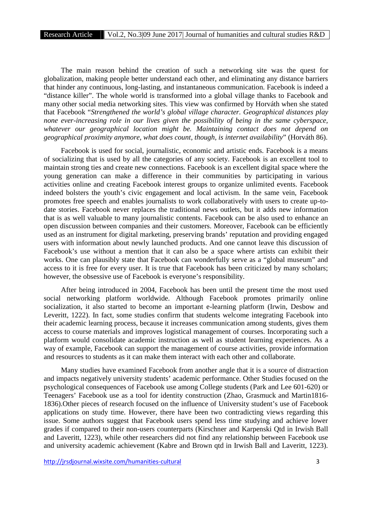The main reason behind the creation of such a networking site was the quest for globalization, making people better understand each other, and eliminating any distance barriers that hinder any continuous, long-lasting, and instantaneous communication. Facebook is indeed a "distance killer". The whole world is transformed into a global village thanks to Facebook and many other social media networking sites. This view was confirmed by Horváth when she stated that Facebook "*Strengthened the world's global village character. Geographical distances play none ever-increasing role in our lives given the possibility of being in the same cyberspace, whatever our geographical location might be. Maintaining contact does not depend on geographical proximity anymore, what does count, though, is internet availability*" (Horváth 86).

Facebook is used for social, journalistic, economic and artistic ends. Facebook is a means of socializing that is used by all the categories of any society. Facebook is an excellent tool to maintain strong ties and create new connections. Facebook is an excellent digital space where the young generation can make a difference in their communities by participating in various activities online and creating Facebook interest groups to organize unlimited events. Facebook indeed bolsters the youth's civic engagement and local activism. In the same vein, Facebook promotes free speech and enables journalists to work collaboratively with users to create up-to date stories. Facebook never replaces the traditional news outlets, but it adds new information that is as well valuable to many journalistic contents. Facebook can be also used to enhance an open discussion between companies and their customers. Moreover, Facebook can be efficiently used as an instrument for digital marketing, preserving brands' reputation and providing engaged users with information about newly launched products. And one cannot leave this discussion of Facebook's use without a mention that it can also be a space where artists can exhibit their works. One can plausibly state that Facebook can wonderfully serve as a "global museum" and access to it is free for every user. It is true that Facebook has been criticized by many scholars; however, the obsessive use of Facebook is everyone's responsibility.

After being introduced in 2004, Facebook has been until the present time the most used social networking platform worldwide. Although Facebook promotes primarily online socialization, it also started to become an important e-learning platform (Irwin, Desbow and Leveritt, 1222). In fact, some studies confirm that students welcome integrating Facebook into their academic learning process, because it increases communication among students, gives them access to course materials and improves logistical management of courses. Incorporating such a platform would consolidate academic instruction as well as student learning experiences. As a way of example, Facebook can support the management of course activities, provide information and resources to students as it can make them interact with each other and collaborate.

Many studies have examined Facebook from another angle that it is a source of distraction and impacts negatively university students' academic performance. Other Studies focused on the psychological consequences of Facebook use among College students (Park and Lee 601-620) or Teenagers' Facebook use as a tool for identity construction (Zhao, Grasmuck and Martin1816- 1836).Other pieces of research focused on the influence of University student's use of Facebook applications on study time. However, there have been two contradicting views regarding this issue. Some authors suggest that Facebook users spend less time studying and achieve lower grades if compared to their non-users counterparts (Kirschner and Karpenski Qtd in Irwish Ball and Laveritt, 1223), while other researchers did not find any relationship between Facebook use and university academic achievement (Kabre and Brown qtd in Irwish Ball and Laveritt, 1223).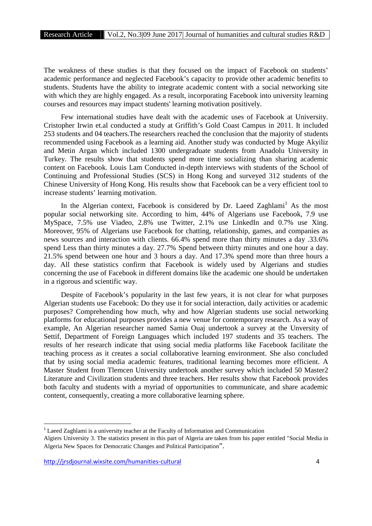The weakness of these studies is that they focused on the impact of Facebook on students' academic performance and neglected Facebook's capacity to provide other academic benefits to students. Students have the ability to integrate academic content with a social networking site with which they are highly engaged. As a result, incorporating Facebook into university learning courses and resources may impact students' learning motivation positively.

Few international studies have dealt with the academic uses of Facebook at University. Cristopher Irwin et.al conducted a study at Griffith's Gold Coast Campus in 2011. It included 253 students and 04 teachers.The researchers reached the conclusion that the majority of students recommended using Facebook as a learning aid. Another study was conducted by Muge Akyiliz and Metin Argan which included 1300 undergraduate students from Anadolu University in Turkey. The results show that students spend more time socializing than sharing academic content on Facebook. Louis Lam Conducted in-depth interviews with students of the School of Continuing and Professional Studies (SCS) in Hong Kong and surveyed 312 students of the Chinese University of Hong Kong. His results show that Facebook can be a very efficient tool to increase students' learning motivation.

In the Algerian context, Facebook is considered by Dr. Laeed Zaghlami<sup>1</sup> As the most popular social networking site. According to him, 44% of Algerians use Facebook, 7.9 use MySpace, 7.5% use Viadeo, 2.8% use Twitter, 2.1% use LinkedIn and 0.7% use Xing. Moreover, 95% of Algerians use Facebook for chatting, relationship, games, and companies as news sources and interaction with clients. 66.4% spend more than thirty minutes a day .33.6% spend Less than thirty minutes a day. 27.7% Spend between thirty minutes and one hour a day. 21.5% spend between one hour and 3 hours a day. And 17.3% spend more than three hours a day. All these statistics confirm that Facebook is widely used by Algerians and studies concerning the use of Facebook in different domains like the academic one should be undertaken in a rigorous and scientific way.

Despite of Facebook's popularity in the last few years, it is not clear for what purposes Algerian students use Facebook: Do they use it for social interaction, daily activities or academic purposes? Comprehending how much, why and how Algerian students use social networking platforms for educational purposes provides a new venue for contemporary research. As a way of example, An Algerian researcher named Samia Ouaj undertook a survey at the Unversity of Settif, Department of Foreign Languages which included 197 students and 35 teachers. The results of her research indicate that using social media platforms like Facebook facilitate the teaching process as it creates a social collaborative learning environment. She also concluded that by using social media academic features, traditional learning becomes more efficient. A Master Student from Tlemcen University undertook another survey which included 50 Master2 Literature and Civilization students and three teachers. Her results show that Facebook provides both faculty and students with a myriad of opportunities to communicate, and share academic content, consequently, creating a more collaborative learning sphere.

<sup>1</sup> Laeed Zaghlami is a university teacher at the Faculty of Information and Communication

Algiers University 3. The statistics present in this part of Algeria are taken from his paper entitled "Social Media in Algeria New Spaces for Democratic Changes and Political Participation".

http://jrsdjournal.wixsite.com/humanities-cultural 4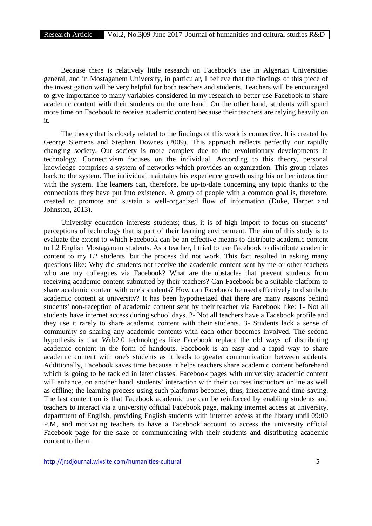Because there is relatively little research on Facebook's use in Algerian Universities general, and in Mostaganem University, in particular, I believe that the findings of this piece of the investigation will be very helpful for both teachers and students. Teachers will be encouraged to give importance to many variables considered in my research to better use Facebook to share academic content with their students on the one hand. On the other hand, students will spend more time on Facebook to receive academic content because their teachers are relying heavily on it.

The theory that is closely related to the findings of this work is connective. It is created by George Siemens and Stephen Downes (2009). This approach reflects perfectly our rapidly changing society. Our society is more complex due to the revolutionary developments in technology. Connectivism focuses on the individual. According to this theory, personal knowledge comprises a system of networks which provides an organization. This group relates back to the system. The individual maintains his experience growth using his or her interaction with the system. The learners can, therefore, be up-to-date concerning any topic thanks to the connections they have put into existence. A group of people with a common goal is, therefore, created to promote and sustain a well-organized flow of information (Duke, Harper and Johnston, 2013).

University education interests students; thus, it is of high import to focus on students' perceptions of technology that is part of their learning environment. The aim of this study is to evaluate the extent to which Facebook can be an effective means to distribute academic content to L2 English Mostaganem students. As a teacher, I tried to use Facebook to distribute academic content to my L2 students, but the process did not work. This fact resulted in asking many questions like: Why did students not receive the academic content sent by me or other teachers who are my colleagues via Facebook? What are the obstacles that prevent students from receiving academic content submitted by their teachers? Can Facebook be a suitable platform to share academic content with one's students? How can Facebook be used effectively to distribute academic content at university? It has been hypothesized that there are many reasons behind students' non-reception of academic content sent by their teacher via Facebook like: 1- Not all students have internet access during school days. 2- Not all teachers have a Facebook profile and they use it rarely to share academic content with their students. 3- Students lack a sense of community so sharing any academic contents with each other becomes involved. The second hypothesis is that Web2.0 technologies like Facebook replace the old ways of distributing academic content in the form of handouts. Facebook is an easy and a rapid way to share academic content with one's students as it leads to greater communication between students. Additionally, Facebook saves time because it helps teachers share academic content beforehand which is going to be tackled in later classes. Facebook pages with university academic content will enhance, on another hand, students' interaction with their courses instructors online as well as offline; the learning process using such platforms becomes, thus, interactive and time-saving. The last contention is that Facebook academic use can be reinforced by enabling students and teachers to interact via a university official Facebook page, making internet access at university, department of English, providing English students with internet access at the library until 09:00 P.M, and motivating teachers to have a Facebook account to access the university official Facebook page for the sake of communicating with their students and distributing academic content to them.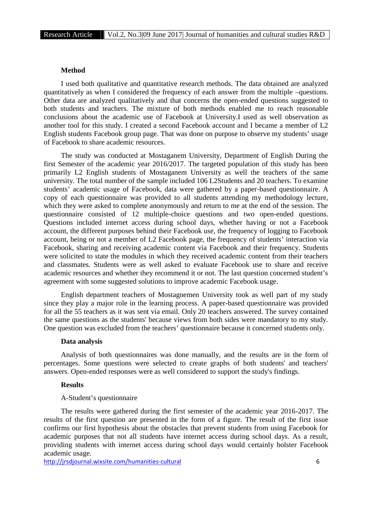## **Method**

I used both qualitative and quantitative research methods. The data obtained are analyzed quantitatively as when I considered the frequency of each answer from the multiple –questions. Other data are analyzed qualitatively and that concerns the open-ended questions suggested to both students and teachers. The mixture of both methods enabled me to reach reasonable conclusions about the academic use of Facebook at University.I used as well observation as another tool for this study. I created a second Facebook account and I became a member of L2 English students Facebook group page. That was done on purpose to observe my students' usage of Facebook to share academic resources.

The study was conducted at Mostaganem University, Department of English During the first Semester of the academic year 2016/2017. The targeted population of this study has been primarily L2 English students of Mostaganem University as well the teachers of the same university. The total number of the sample included 106 L2Students and 20 teachers. To examine students' academic usage of Facebook, data were gathered by a paper-based questionnaire. A copy of each questionnaire was provided to all students attending my methodology lecture, which they were asked to complete anonymously and return to me at the end of the session. The questionnaire consisted of 12 multiple-choice questions and two open-ended questions. Questions included internet access during school days, whether having or not a Facebook account, the different purposes behind their Facebook use, the frequency of logging to Facebook account, being or not a member of L2 Facebook page, the frequency of students' interaction via Facebook, sharing and receiving academic content via Facebook and their frequency. Students were solicited to state the modules in which they received academic content from their teachers and classmates. Students were as well asked to evaluate Facebook use to share and receive academic resources and whether they recommend it or not. The last question concerned student's agreement with some suggested solutions to improve academic Facebook usage.

English department teachers of Mostagnemen University took as well part of my study since they play a major role in the learning process. A paper-based questionnaire was provided for all the 55 teachers as it was sent via email. Only 20 teachers answered. The survey contained the same questions as the students' because views from both sides were mandatory to my study. One question was excluded from the teachers' questionnaire because it concerned students only.

#### **Data analysis**

Analysis of both questionnaires was done manually, and the results are in the form of percentages. Some questions were selected to create graphs of both students' and teachers' answers. Open-ended responses were as well considered to support the study's findings.

#### **Results**

#### A-Student's questionnaire

The results were gathered during the first semester of the academic year 2016-2017. The results of the first question are presented in the form of a figure. The result of the first issue confirms our first hypothesis about the obstacles that prevent students from using Facebook for academic purposes that not all students have internet access during school days. As a result, providing students with internet access during school days would certainly bolster Facebook academic usage.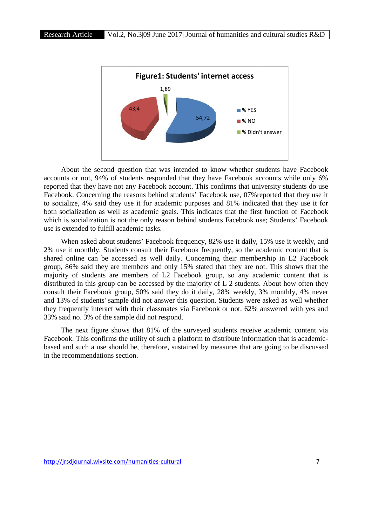

About the second question that was intended to know whether students have Facebook accounts or not, 94% of students responded that they have Facebook accounts while only 6% reported that they have not any Facebook account. This confirms that university students do use Facebook. Concerning the reasons behind students' Facebook use, 07% reported that they use it to socialize, 4% said they use it for academic purposes and 81% indicated that they use it for both socialization as well as academic goals. This indicates that the first function of Facebook which is socialization is not the only reason behind students Facebook use; Students' Facebook use is extended to fulfill academic tasks. Facebook accounts<br>irms that university s<br>k use, 07% reported<br>81% indicated that

When asked about students' Facebook frequency, 82% use it daily, 15% use it weekly, and 2% use it monthly. Students consult their Facebook frequently, so the academic content that is shared online can be accessed as well daily. Concerning their membership in L2 Facebook group, 86% said they are members and only 15% stated that they are not. This shows that the majority of students are members of L2 Facebook group, so any academic content that is distributed in this group can be accessed by the majority of L 2 students. About how often they consult their Facebook group, 50% said they do it daily, 28% weekly, 3% monthly, 4% never and 13% of students' sample did not answer this question. Students were asked as well whether they frequently interact with their classmates via Facebook or not. 62% answered with yes and 33% said no. 3% of the sample did not respond. **EXAMPLE 1988**<br> **EXAMPLE 1989**<br> **EXAMPLE 1989**<br> **EXAMPLE 1989**<br> **EXAMPLE 1989**<br> **EXAMPLE 1989**<br> **EXAMPLE 1989**<br> **EXAMPLE 1989**<br> **EXAMPLE 1989**<br> **EXAMPLE 1989**<br> **EXAMPLE 1989**<br> **EXAMPLE 1989**<br> **EXAMPLE 1989**<br> **EXAMPLE 1989** laily, 15% use it weekly, and<br>the academic content that is<br>nembership in L2 Facebook<br>are not. This shows that the

The next figure shows that 81% of the surveyed students receive academic content via The next figure shows that 81% of the surveyed students receive academic content via<br>Facebook. This confirms the utility of such a platform to distribute information that is academicbased and such a use should be, therefore, sustained by measures that are going to be discussed in the recommendations section.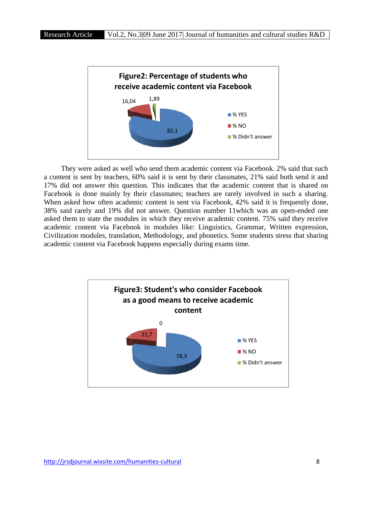

They were asked as well who send them academic content via Facebook. 2% said that such a content is sent by teachers, 60% said it is sent by their classmates, 21% said both send it and 17% did not answer this question. This indicates that the academic content that is shared on Facebook is done mainly by their classmates; teachers are rarely involved in such a sharing. When asked how often academic content is sent via Facebook, 42% said it is frequently done, 38% said rarely and 19% did not answer. Question number 11which was an open-ended one asked them to state the modules in which they receive academic content. 75% said they receive academic content via Facebook in modules like: Linguistics, Grammar, Written expression, Civilization modules, translation, Methodology, and phonetics. Some students stress that sharing academic content via Facebook happens especially during exams time. by teachers, 60% said it is sent by their classmates, 21% said both send it and<br>wer this question. This indicates that the academic content that is shared on<br>e mainly by their classmates; teachers are rarely involved in su 82,1<br>82,1<br>sked as well who send them acaden<br>by teachers, 60% said it is sent by t<br>wer this question. This indicates the<br>mainly by their classmates; teach<br>often academic content is sent via<br>and 19% did not answer. Question estion number 11which was an open-ended one<br>receive academic content. 75% said they receive<br>ike: Linguistics, Grammar, Written expression,<br>and phonetics. Some students stress that sharing

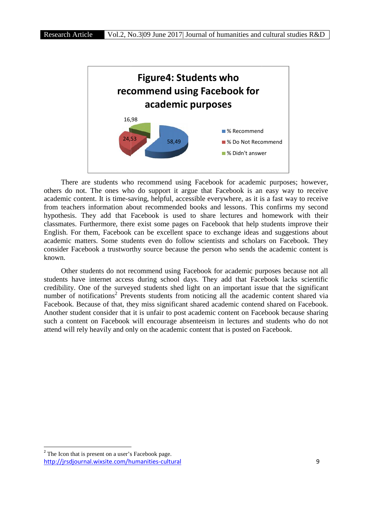

There are students who recommend using Facebook for academic purposes; however, others do not. The ones who do support it argue that Facebook is an easy way to receive academic content. It is time-saving, helpful, accessible everywhere, as it is a fast way to receive from teachers information about recommended books and lessons. This confirms my second hypothesis. They add that Facebook is used to share lectures and homework with their classmates. Furthermore, there exist some pages on Facebook that help students improve their English. For them, Facebook can be excellent space to exchange ideas and suggestions about academic matters. Some students even do follow scientists and scholars on Facebook. They consider Facebook a trustworthy source because the person who sends the academic content is known. is not. The ones who do support it argue that Facebook is an easy way to receive content. It is time-saving, helpful, accessible everywhere, as it is a fast way to receive thers information about recommended books and less **Example 1988**<br> **Example 1988**<br> **Example 1988**<br> **Example 1988**<br> **Example 1988**<br> **Example 1988**<br> **Example 1989**<br> **Example 1989**<br> **Example 1989**<br> **Example 1989**<br> **Example 1989**<br> **Example 1989**<br> **Example 1989**<br> **Example 2001** 

Other students do not recommend using Facebook for academic purposes because not all students have internet access during school days. They add that Facebook lacks scientific credibility. One of the surveyed students shed light on an important issue that the significant number of notifications<sup>2</sup> Prevents students from noticing all the academic content shared via Facebook. Because of that, they miss significant shared academic contend shared on Facebook. Another student consider that it is unfair to post academic content on Facebook because sharing such a content on Facebook will encourage absenteeism in lectures and students who do not attend will rely heavily and only on the academic content that is posted on Facebook. y. One of the surveyed students shed light on an important issue that the significant of notifications<sup>2</sup> Prevents students from noticing all the academic content shared via k. Because of that, they miss significant shared cause the person who sends the academic content is<br>ng Facebook for academic purposes because not all<br>ol days. They add that Facebook lacks scientific<br>hed light on an important issue that the significant<br>from noticing all t

http://jrsdjournal.wixsite.com/humanities-cultural 9 <sup>2</sup> The Icon that is present on a user's Facebook page.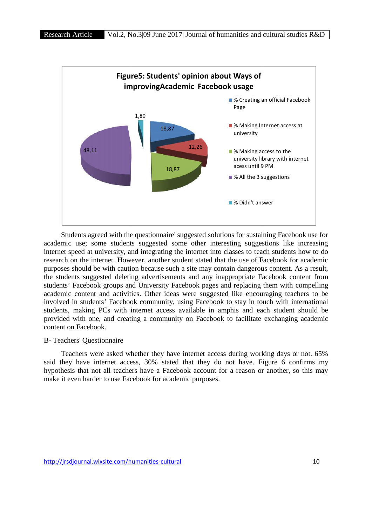

Students agreed with the questionnaire' suggested solutions for sustaining Facebook use for academic use; some students suggested some other interesting suggestions like increasing internet speed at university, and integrating the internet into classes to teach students how to do research on the internet. However, another student stated that the use of Facebook for academic purposes should be with caution because such a site may contain dangerous content. As a result, the students suggested deleting advertisements and any inappropriate Facebook content from students' Facebook groups and University Facebook pages and replacing them with compelling academic content and activities. Other ideas were suggested like encouraging teachers to be involved in students' Facebook community, using Facebook to stay in touch with international students, making PCs with internet access available in amphis and each student should be provided with one, and creating a community on Facebook to facilitate exchanging academic content on Facebook. with the questionnaire' suggested solutions for sustaining Facebook use for students suggested some other interesting suggestions like increasing rsity, and integrating the internet into classes to teach students how to do 18,87<br>
SAII the 3 suggestions<br>
SAII the 3 suggestions<br>
SAII the 3 suggestions<br>
SAII the 3 suggestions<br>
SAII the 3 suggestions<br>
SAII the 3 suggestions<br>
SAII the 3 suggestions<br>
SAII the 3 suggestions<br>
SAII the 3 suggestions<br>

#### B- Teachers' Questionnaire

Teachers were asked whether they have internet access during working days or not. 65% said they have internet access, 30% stated that they do not have. Figure 6 confirms my hypothesis that not all teachers have a Facebook account for a reason or another, so this may make it even harder to use Facebook for academic purposes.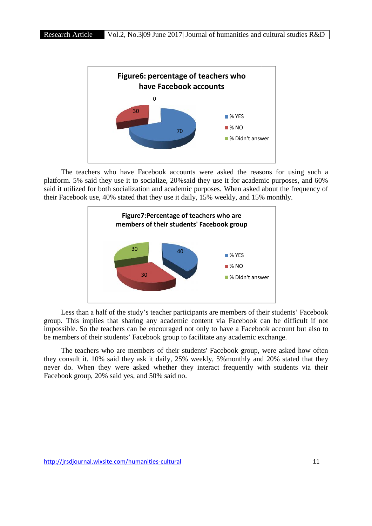

The teachers who have Facebook accounts were asked the reasons for using such a the platform. 5% said they use it to socialize, 20%said they use it for academic purposes, and 60% said it utilized for both socialization and academic purposes. When asked about the frequency of their Facebook use, 40% stated that they use it daily, 15% weekly, and 15% monthly.



Less than a half of the study's teacher participants are members of their students' Facebook group. This implies that sharing any academic content via Facebook can be difficult if not impossible. So the teachers can be encouraged not only to have a Facebook account but also to be members of their students' Facebook group to facilitate any academic exchange.

The teachers who are members of their students' Facebook group, were asked how often they consult it. 10% said they ask it daily, 25% weekly, 5%monthly and 20% stated that they never do. When they were asked whether they interact frequently with students via their Facebook group, 20% said yes, and 50% said no.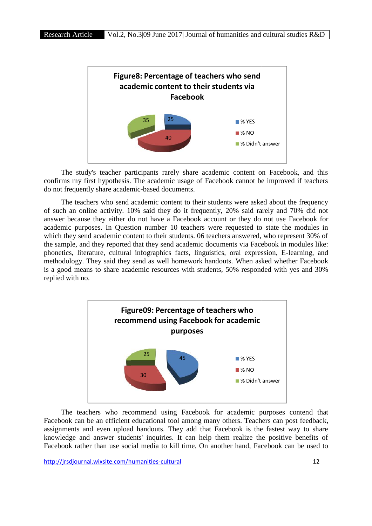

The study's teacher participants rarely share academic content on Facebook, and this confirms my first hypothesis. The academic usage of Facebook cannot be improved if teachers do not frequently share academic-based documents.

The teachers who send academic content to their students were asked about the frequency of such an online activity. 10% said they do it frequently, 20% said rarely and 70% did not answer because they either do not have a Facebook account or they do not use Facebook for academic purposes. In Question number 10 teachers were requested to state the modules in which they send academic content to their students. 06 teachers answered, who represent 30% of the sample, and they reported that they send academic documents via Facebook in modules like: phonetics, literature, cultural infographics facts, linguistics, oral expression, E-learning, and methodology. They said they send as well homework handouts. When asked whether Facebook is a good means to share academic resources with students, 50% responded with yes and 30% replied with no. they do not use Facebook for<br>ested to state the modules in<br>swered, who represent 30% of<br>via Facebook in modules like:<br>l expression, E-learning, and<br>When asked whether Facebook<br>responded with yes and 30%



The teachers who recommend using Facebook for academic purposes contend that Facebook can be an efficient educational tool among many others. Teachers can post feedback, assignments and even upload handouts. They add that Facebook is the fastest way to share knowledge and answer students' inquiries. It can help them realize the positive benefits of Facebook rather than use social media to kill time. On another hand, Facebook can be used to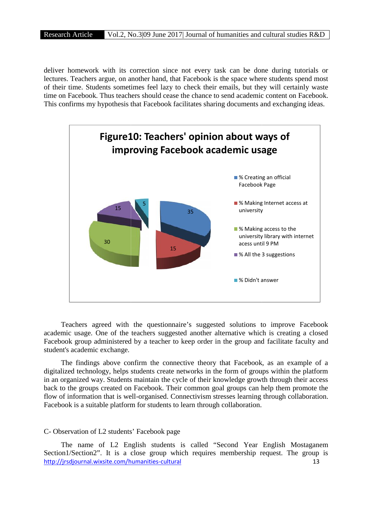deliver homework with its correction since not every task can be done during tutorials or lectures. Teachers argue, on another hand, that Facebook is the space where students spend most of their time. Students sometimes feel lazy to check their emails, but they will certainly waste time on Facebook. Thus teachers should cease the chance to send academic content on Facebook. This confirms my hypothesis that Facebook facilitates sharing documents and exchanging ideas. June 2017| Journal of humanities and cultural studies R&D<br>on since not every task can be done during tutorials or<br>hand, that Facebook is the space where students spend most<br>eel lazy to check their emails, but they will cer



Teachers agreed with the questionnaire's suggested solutions to improve Facebook academic usage. One of the teachers suggested another alternative which is creating a closed Facebook group administered by a teacher to keep order in the group and facilitate faculty and student's academic exchange.

The findings above confirm the connective theory that Facebook, as an example of a digitalized technology, helps students create networks in the form of groups within the platform in an organized way. Students maintain the cycle of their knowledge growth through their access back to the groups created on Facebook. Their common goal groups can help them promote the flow of information that is well-organised. Connectivism stresses learning through collaboration. Facebook is a suitable platform for students to learn through collaboration. ganized way. Students maintain the cycle of their knowledge growth throug<br>the groups created on Facebook. Their common goal groups can help then<br>information that is well-organised. Connectivism stresses learning through<br>k

#### C- Observation of L2 students' Facebook page

http://jrsdjournal.wixsite.com/humanities-cultural 13 The name of L2 English students is called "Second Year English Mostaganem Section1/Section2". It is a close group which requires membership request. The group is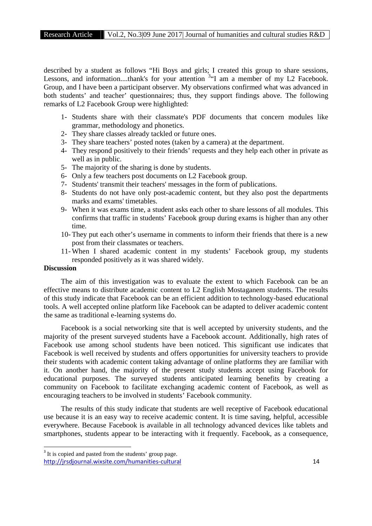described by a student as follows "Hi Boys and girls; I created this group to share sessions, Lessons, and information....thank's for your attention <sup>3</sup>"I am a member of my L2 Facebook. Group, and I have been a participant observer. My observations confirmed what was advanced in both students' and teacher' questionnaires; thus, they support findings above. The following remarks of L2 Facebook Group were highlighted:

- 1- Students share with their classmate's PDF documents that concern modules like grammar, methodology and phonetics.
- 2- They share classes already tackled or future ones.
- 3- They share teachers' posted notes (taken by a camera) at the department.
- 4- They respond positively to their friends' requests and they help each other in private as well as in public.
- 5- The majority of the sharing is done by students.
- 6- Only a few teachers post documents on L2 Facebook group.
- 7- Students' transmit their teachers' messages in the form of publications.
- 8- Students do not have only post-academic content, but they also post the departments marks and exams' timetables.
- 9- When it was exams time, a student asks each other to share lessons of all modules. This confirms that traffic in students' Facebook group during exams is higher than any other time.
- 10- They put each other's username in comments to inform their friends that there is a new post from their classmates or teachers.
- 11- When I shared academic content in my students' Facebook group, my students responded positively as it was shared widely.

#### **Discussion**

The aim of this investigation was to evaluate the extent to which Facebook can be an effective means to distribute academic content to L2 English Mostaganem students. The results of this study indicate that Facebook can be an efficient addition to technology-based educational tools. A well accepted online platform like Facebook can be adapted to deliver academic content the same as traditional e-learning systems do.

Facebook is a social networking site that is well accepted by university students, and the majority of the present surveyed students have a Facebook account. Additionally, high rates of Facebook use among school students have been noticed. This significant use indicates that Facebook is well received by students and offers opportunities for university teachers to provide their students with academic content taking advantage of online platforms they are familiar with it. On another hand, the majority of the present study students accept using Facebook for educational purposes. The surveyed students anticipated learning benefits by creating a community on Facebook to facilitate exchanging academic content of Facebook, as well as encouraging teachers to be involved in students' Facebook community.

The results of this study indicate that students are well receptive of Facebook educational use because it is an easy way to receive academic content. It is time saving, helpful, accessible everywhere. Because Facebook is available in all technology advanced devices like tablets and smartphones, students appear to be interacting with it frequently. Facebook, as a consequence,

http://jrsdjournal.wixsite.com/humanities-cultural 14 <sup>3</sup> It is copied and pasted from the students' group page.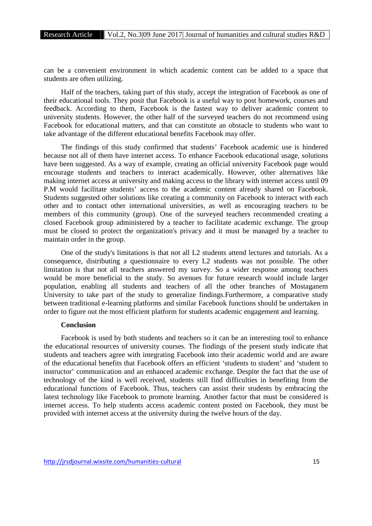can be a convenient environment in which academic content can be added to a space that students are often utilizing.

Half of the teachers, taking part of this study, accept the integration of Facebook as one of their educational tools. They posit that Facebook is a useful way to post homework, courses and feedback. According to them, Facebook is the fastest way to deliver academic content to university students. However, the other half of the surveyed teachers do not recommend using Facebook for educational matters, and that can constitute an obstacle to students who want to take advantage of the different educational benefits Facebook may offer.

The findings of this study confirmed that students' Facebook academic use is hindered because not all of them have internet access. To enhance Facebook educational usage, solutions have been suggested. As a way of example, creating an official university Facebook page would encourage students and teachers to interact academically. However, other alternatives like making internet access at university and making access to the library with internet access until 09 P.M would facilitate students' access to the academic content already shared on Facebook. Students suggested other solutions like creating a community on Facebook to interact with each other and to contact other international universities, as well as encouraging teachers to be members of this community (group). One of the surveyed teachers recommended creating a closed Facebook group administered by a teacher to facilitate academic exchange. The group must be closed to protect the organization's privacy and it must be managed by a teacher to maintain order in the group.

One of the study's limitations is that not all L2 students attend lectures and tutorials. As a consequence, distributing a questionnaire to every L2 students was not possible. The other limitation is that not all teachers answered my survey. So a wider response among teachers would be more beneficial to the study. So avenues for future research would include larger population, enabling all students and teachers of all the other branches of Mostaganem University to take part of the study to generalize findings.Furthermore, a comparative study between traditional e-learning platforms and similar Facebook functions should be undertaken in order to figure out the most efficient platform for students academic engagement and learning.

### **Conclusion**

Facebook is used by both students and teachers so it can be an interesting tool to enhance the educational resources of university courses. The findings of the present study indicate that students and teachers agree with integrating Facebook into their academic world and are aware of the educational benefits that Facebook offers an efficient 'students to student' and 'student to instructor' communication and an enhanced academic exchange. Despite the fact that the use of technology of the kind is well received, students still find difficulties in benefiting from the educational functions of Facebook. Thus, teachers can assist their students by embracing the latest technology like Facebook to promote learning. Another factor that must be considered is internet access. To help students access academic content posted on Facebook, they must be provided with internet access at the university during the twelve hours of the day.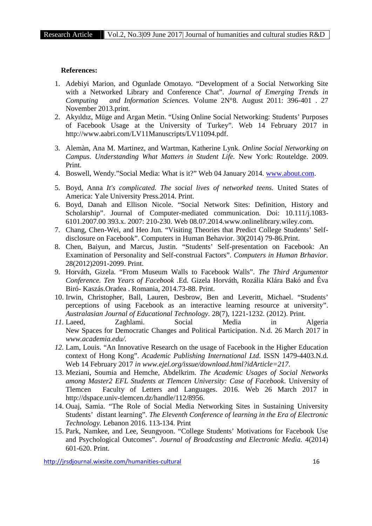#### **References:**

- 1. Adebiyi Marion, and Ogunlade Omotayo. "Development of a Social Networking Site with a Networked Library and Conference Chat". *Journal of Emerging Trends in Computing and Information Sciences.* Volume 2N°8. August 2011: 396-401 . 27 November 2013.print.
- 2. Akyıldız, Müge and Argan Metin. "Using Online Social Networking: Students' Purposes of Facebook Usage at the University of Turkey". Web 14 February 2017 in http://www.aabri.com/LV11Manuscripts/LV11094.pdf.
- 3. Alemàn, Ana M. Martinez, and Wartman, Katherine Lynk. *Online Social Networking on Campus. Understanding What Matters in Student Life.* New York: Routeldge. 2009. Print.
- 4. Boswell, Wendy."Social Media: What is it?" Web 04 January 2014. www.about.com.
- 5. Boyd, Anna *It's complicated. The social lives of networked teens.* United States of America: Yale University Press.2014. Print.
- 6. Boyd, Danah and Ellison Nicole. "Social Network Sites: Definition, History and Scholarship". Journal of Computer-mediated communication. Doi: 10.111/j.1083- 6101.2007.00 393.x. 2007: 210-230. Web 08.07.2014.www.onlinelibrary.wiley.com.
- 7. Chang, Chen-Wei, and Heo Jun. "Visiting Theories that Predict College Students' Self disclosure on Facebook". Computers in Human Behavior. 30(2014) 79-86.Print.
- 8. Chen, Baiyun, and Marcus, Justin. "Students' Self-presentation on Facebook: An Examination of Personality and Self-construal Factors". *Computers in Human Brhavior.* 28(2012)2091-2099. Print.
- 9. Horváth, Gizela. "From Museum Walls to Facebook Walls". *The Third Argumentor Conference. Ten Years of Facebook .*Ed. Gizela Horváth, Rozália Klára Bakó and Éva Biró- Kaszás.Oradea . Romania, 2014.73-88. Print.
- 10. Irwin, Christopher, Ball, Lauren, Desbrow, Ben and Leveritt, Michael. "Students' perceptions of using Facebook as an interactive learning resource at university". *Australasian Journal of Educational Technology.* 28(7), 1221-1232. (2012). Print.
- *11.* Laeed, Zaghlami. Social Media in Algeria New Spaces for Democratic Changes and Political Participation. N.d. 26 March 2017 in *www.academia.edu/.*
- *12.* Lam, Louis. "An Innovative Research on the usage of Facebook in the Higher Education context of Hong Kong". *Academic Publishing International Ltd*. ISSN 1479-4403.N.d. Web 14 February 2017 *in www.ejel.org/issue/download.html?idArticle=217.*
- 13. Meziani, Soumia and Hemche, Abdelkrim. *The Academic Usages of Social Networks among Master2 EFL Students at Tlemcen University: Case of Facebook.* University of Tlemcen Faculty of Letters and Languages. 2016. Web 26 March 2017 in http://dspace.univ-tlemcen.dz/handle/112/8956.
- 14. Ouaj, Samia. "The Role of Social Media Networking Sites in Sustaining University Students' distant learning". *The Eleventh Conference of learning in the Era of Electronic Technology.* Lebanon 2016. 113-134. Print
- 15. Park, Namkee, and Lee, Seungyoon. "College Students' Motivations for Facebook Use and Psychological Outcomes". *Journal of Broadcasting and Electronic Media.* 4(2014) 601-620. Print.